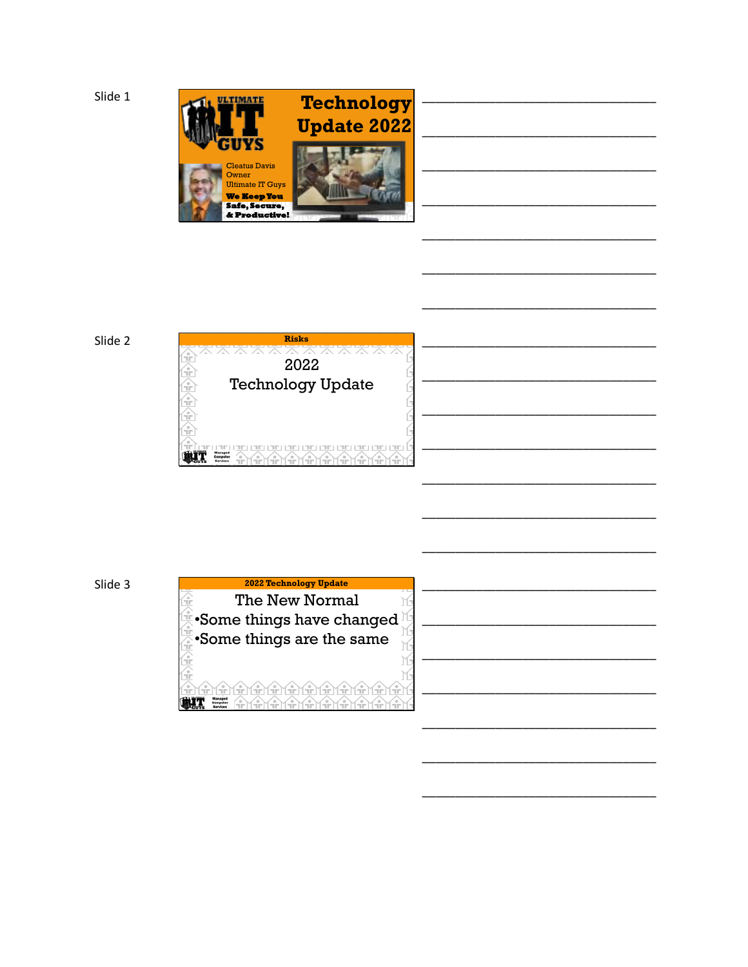

## Slide 2



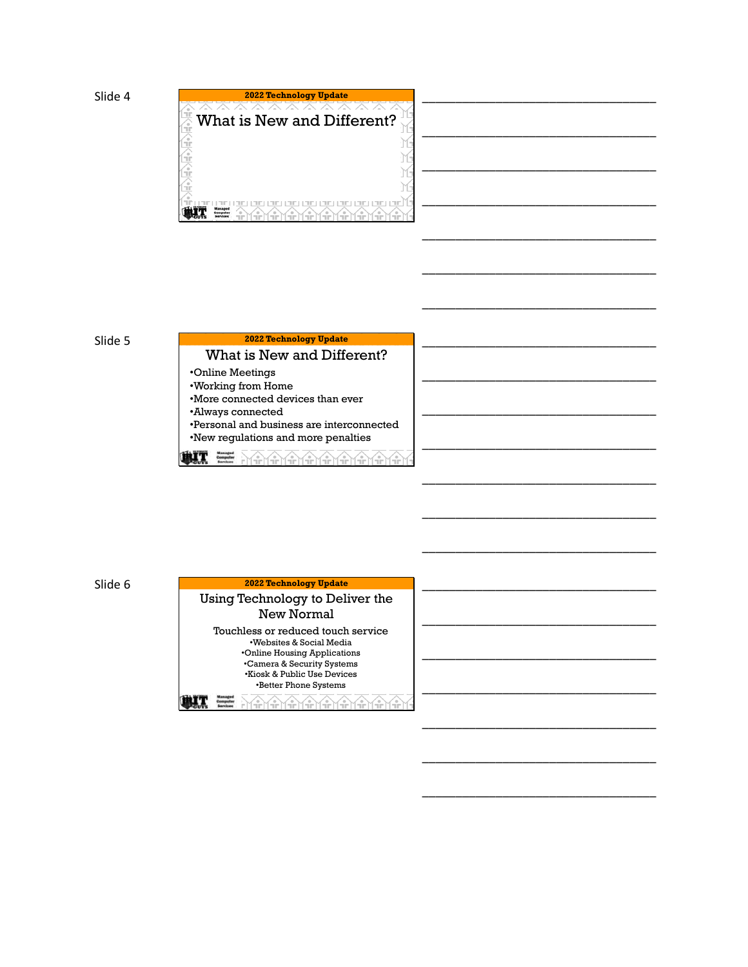



\_\_\_\_\_\_\_\_\_\_\_\_\_\_\_\_\_\_\_\_\_\_\_\_\_\_\_\_\_\_\_\_\_\_\_

\_\_\_\_\_\_\_\_\_\_\_\_\_\_\_\_\_\_\_\_\_\_\_\_\_\_\_\_\_\_\_\_\_\_\_

\_\_\_\_\_\_\_\_\_\_\_\_\_\_\_\_\_\_\_\_\_\_\_\_\_\_\_\_\_\_\_\_\_\_\_

\_\_\_\_\_\_\_\_\_\_\_\_\_\_\_\_\_\_\_\_\_\_\_\_\_\_\_\_\_\_\_\_\_\_\_

\_\_\_\_\_\_\_\_\_\_\_\_\_\_\_\_\_\_\_\_\_\_\_\_\_\_\_\_\_\_\_\_\_\_\_

\_\_\_\_\_\_\_\_\_\_\_\_\_\_\_\_\_\_\_\_\_\_\_\_\_\_\_\_\_\_\_\_\_\_\_

\_\_\_\_\_\_\_\_\_\_\_\_\_\_\_\_\_\_\_\_\_\_\_\_\_\_\_\_\_\_\_\_\_\_\_

\_\_\_\_\_\_\_\_\_\_\_\_\_\_\_\_\_\_\_\_\_\_\_\_\_\_\_\_\_\_\_\_\_\_\_

\_\_\_\_\_\_\_\_\_\_\_\_\_\_\_\_\_\_\_\_\_\_\_\_\_\_\_\_\_\_\_\_\_\_\_

\_\_\_\_\_\_\_\_\_\_\_\_\_\_\_\_\_\_\_\_\_\_\_\_\_\_\_\_\_\_\_\_\_\_\_

### Slide 5

# What is New and Different? **2022 Technology Update** \_\_\_\_\_\_\_\_\_\_\_\_\_\_\_\_\_\_\_\_\_\_\_\_\_\_\_\_\_\_\_\_\_\_\_

•Online Meetings

- •Working from Home
- •More connected devices than ever

•Always connected

•Personal and business are interconnected •New regulations and more penalties

▓▓ 만뿟뽓뽓뽓뽓뽓뽓뽓

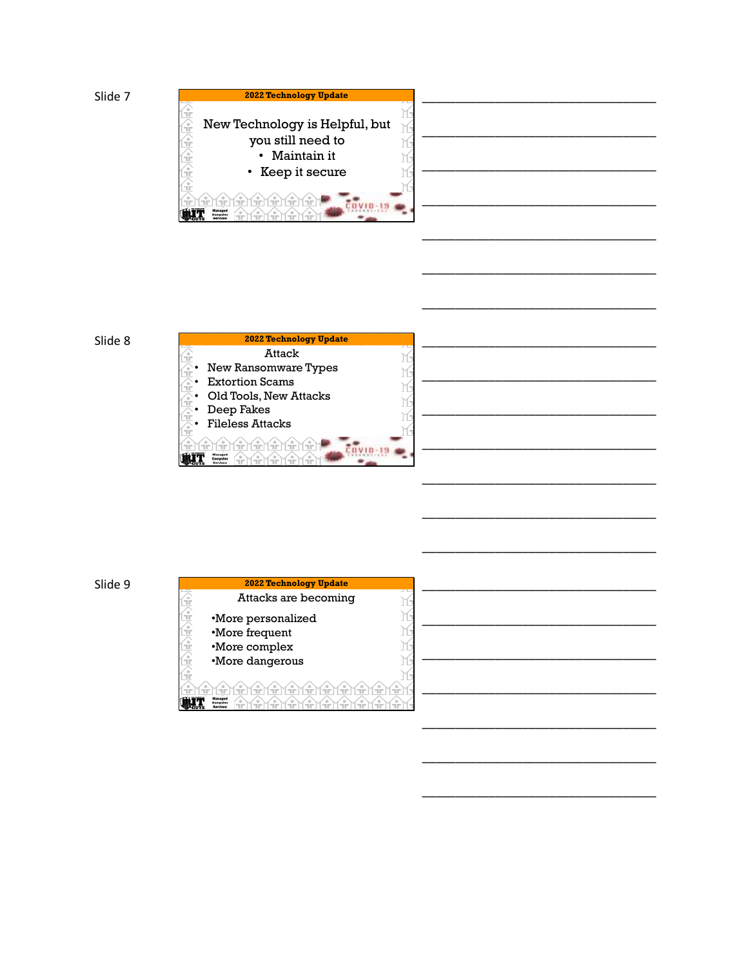



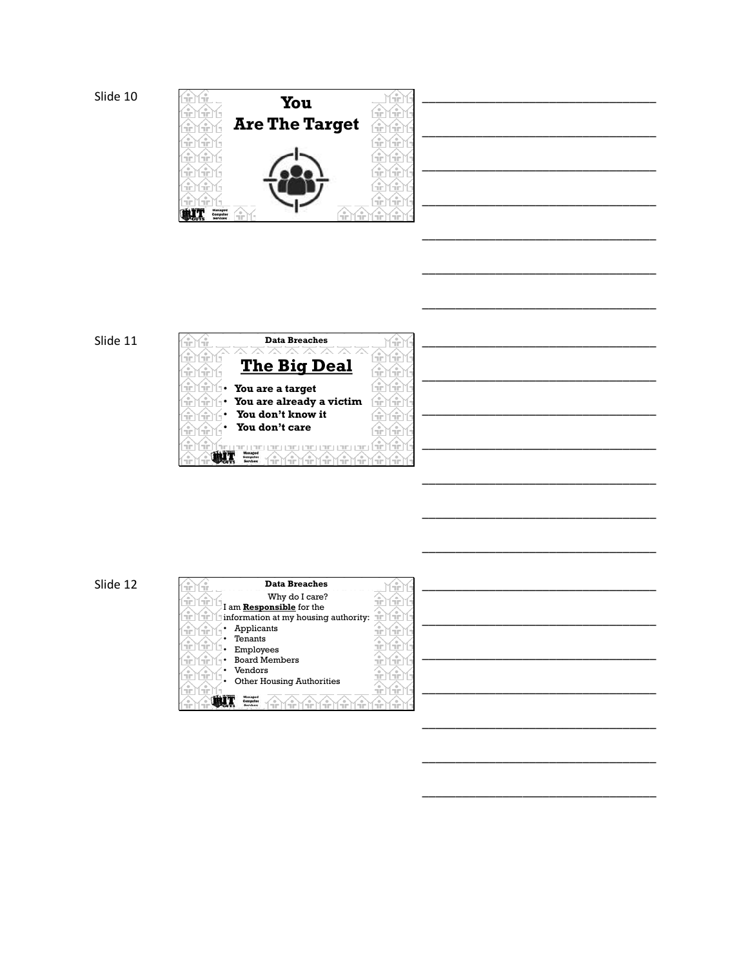





| <b>Data Breaches</b><br>÷                      | Ŧ<br>ĴГ.                         |
|------------------------------------------------|----------------------------------|
| Why do I care?<br>÷                            |                                  |
| $M_{\rm HI}$<br>I am Responsible for the       | <b>COLOR</b>                     |
| ÷<br>2<br>information at my housing authority: | ÷<br>rie.                        |
| Applicants<br>$\circ$<br>Ŧ                     | ۰<br><b>STOP</b><br><b>COLOR</b> |
| Tenants                                        |                                  |
| Employees                                      | $-1$                             |
| <b>Board Members</b><br>÷<br>÷                 | <b>COLOR</b>                     |
| Vendors<br>$\circ$                             |                                  |
| Œ<br><b>Other Housing Authorities</b>          | пm                               |
| ۰<br>Manages<br>Democrátic                     | <b>COLOR</b>                     |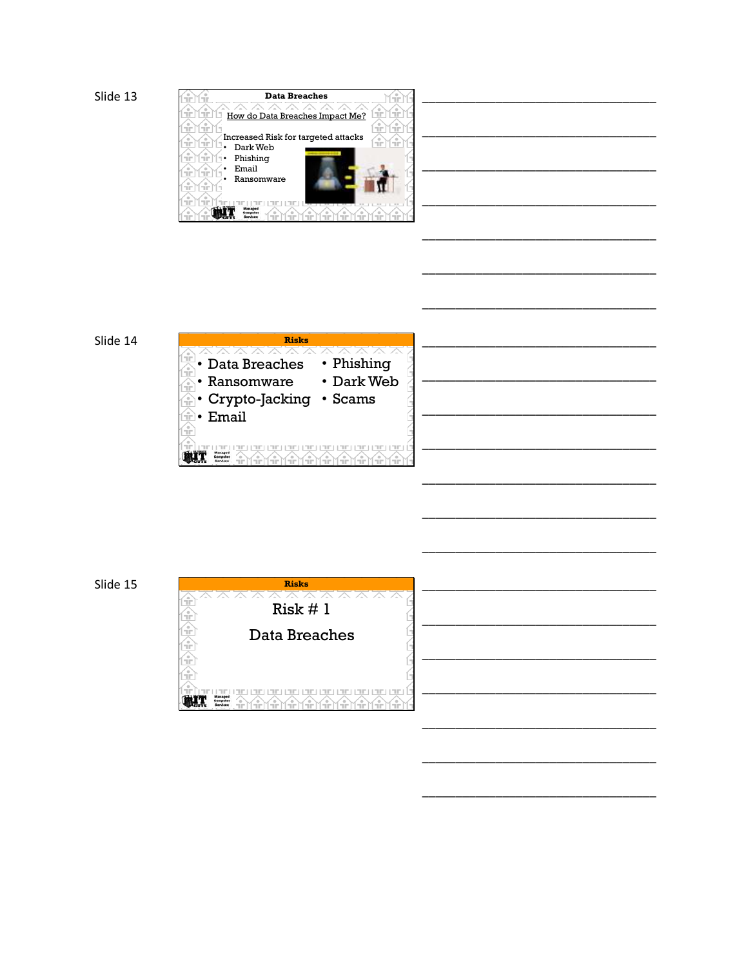







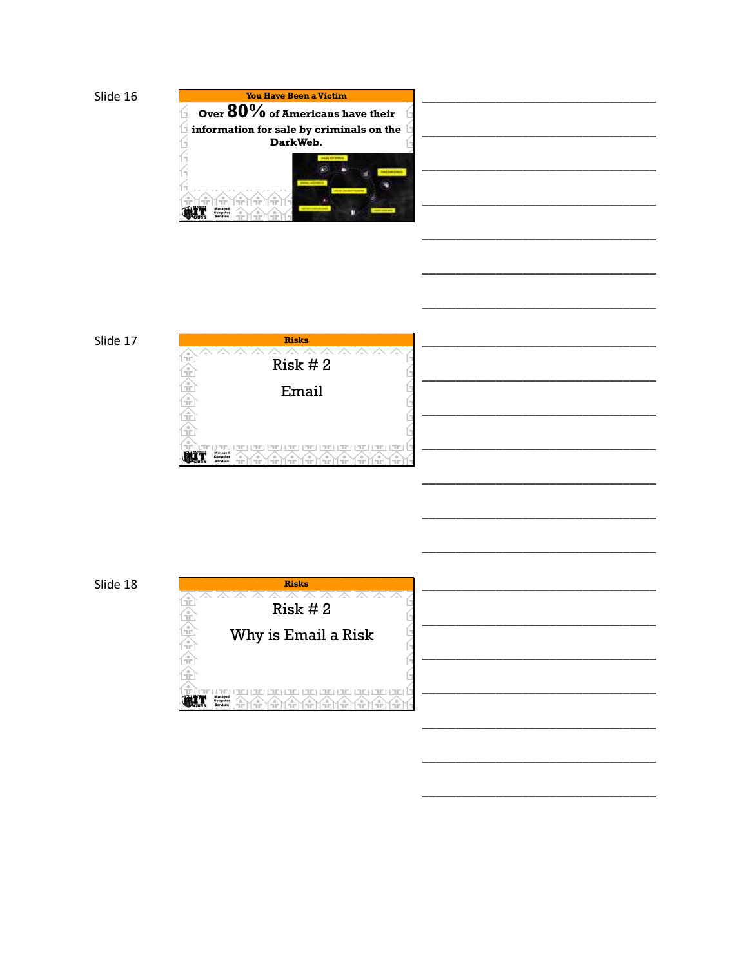







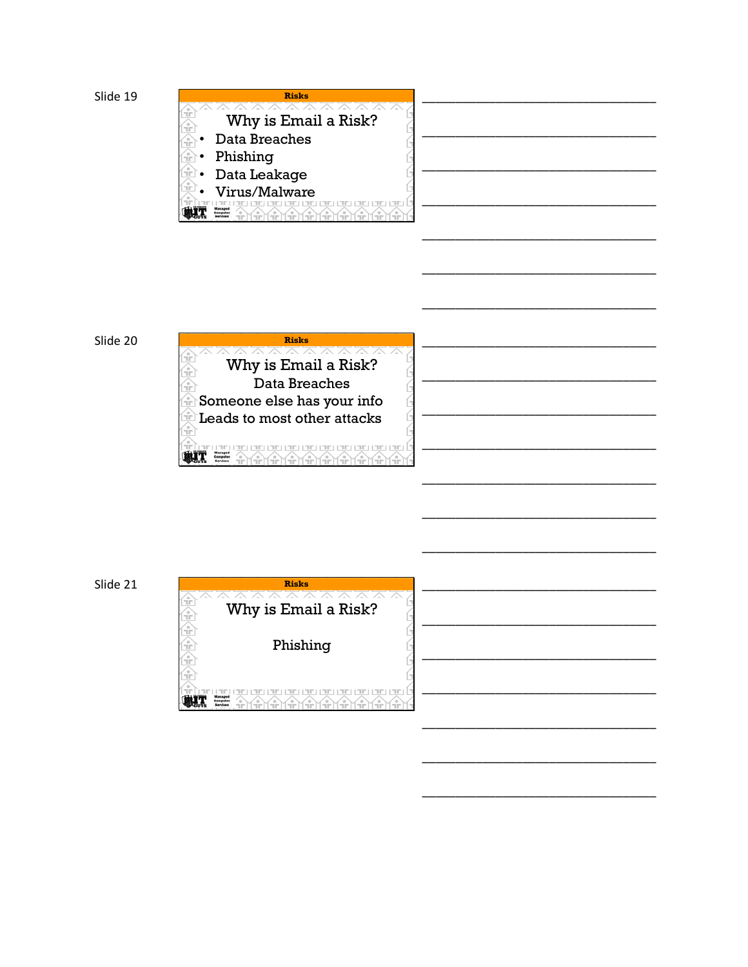







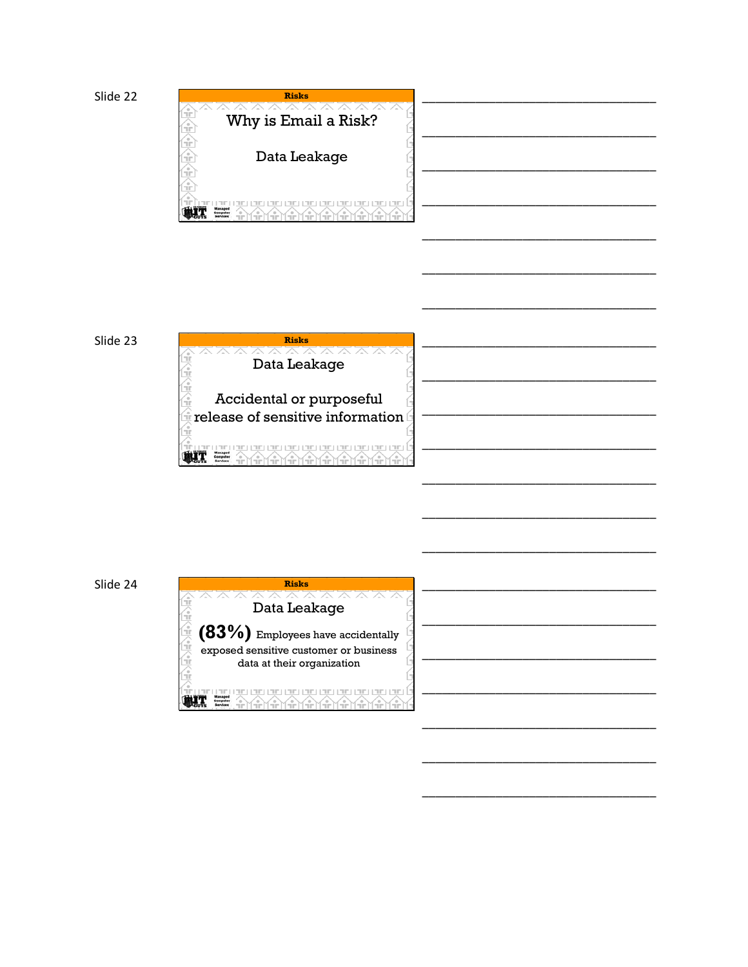





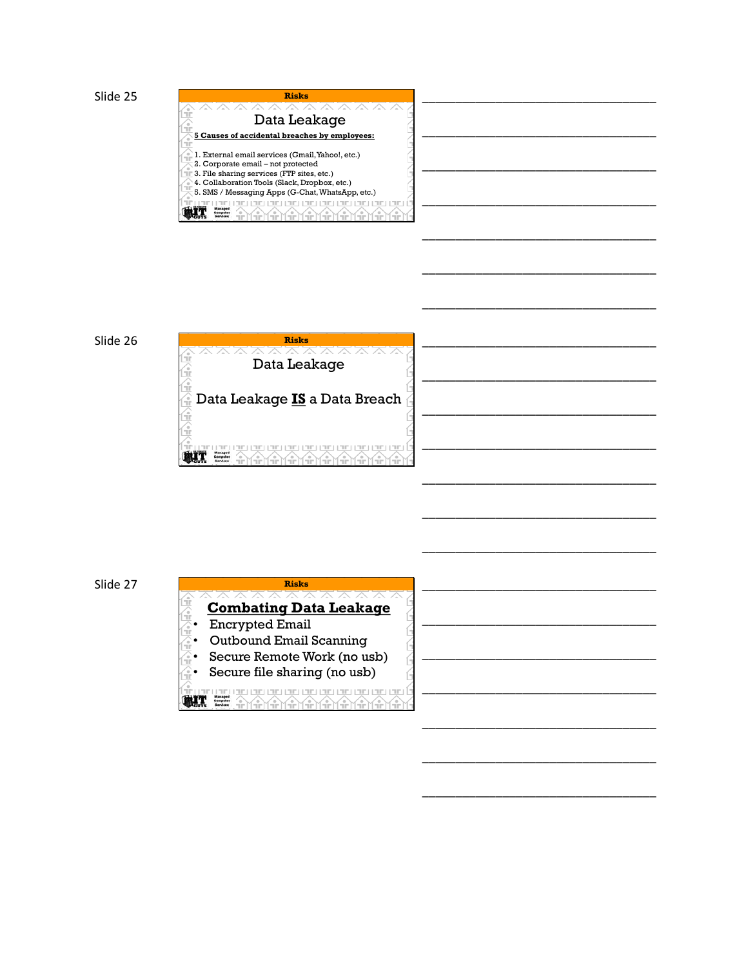

### Slide 26







\_\_\_\_\_\_\_\_\_\_\_\_\_\_\_\_\_\_\_\_\_\_\_\_\_\_\_\_\_\_\_\_\_\_\_

\_\_\_\_\_\_\_\_\_\_\_\_\_\_\_\_\_\_\_\_\_\_\_\_\_\_\_\_\_\_\_\_\_\_\_

\_\_\_\_\_\_\_\_\_\_\_\_\_\_\_\_\_\_\_\_\_\_\_\_\_\_\_\_\_\_\_\_\_\_\_

\_\_\_\_\_\_\_\_\_\_\_\_\_\_\_\_\_\_\_\_\_\_\_\_\_\_\_\_\_\_\_\_\_\_\_

\_\_\_\_\_\_\_\_\_\_\_\_\_\_\_\_\_\_\_\_\_\_\_\_\_\_\_\_\_\_\_\_\_\_\_

\_\_\_\_\_\_\_\_\_\_\_\_\_\_\_\_\_\_\_\_\_\_\_\_\_\_\_\_\_\_\_\_\_\_\_

\_\_\_\_\_\_\_\_\_\_\_\_\_\_\_\_\_\_\_\_\_\_\_\_\_\_\_\_\_\_\_\_\_\_\_

\_\_\_\_\_\_\_\_\_\_\_\_\_\_\_\_\_\_\_\_\_\_\_\_\_\_\_\_\_\_\_\_\_\_\_

\_\_\_\_\_\_\_\_\_\_\_\_\_\_\_\_\_\_\_\_\_\_\_\_\_\_\_\_\_\_\_\_\_\_\_

\_\_\_\_\_\_\_\_\_\_\_\_\_\_\_\_\_\_\_\_\_\_\_\_\_\_\_\_\_\_\_\_\_\_\_

\_\_\_\_\_\_\_\_\_\_\_\_\_\_\_\_\_\_\_\_\_\_\_\_\_\_\_\_\_\_\_\_\_\_\_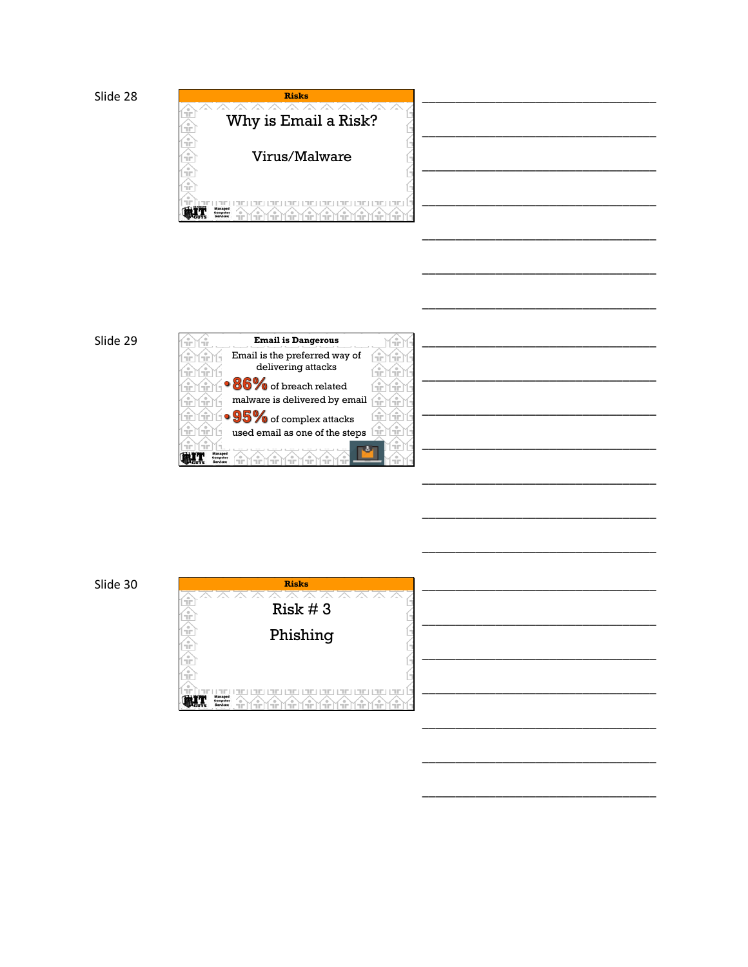







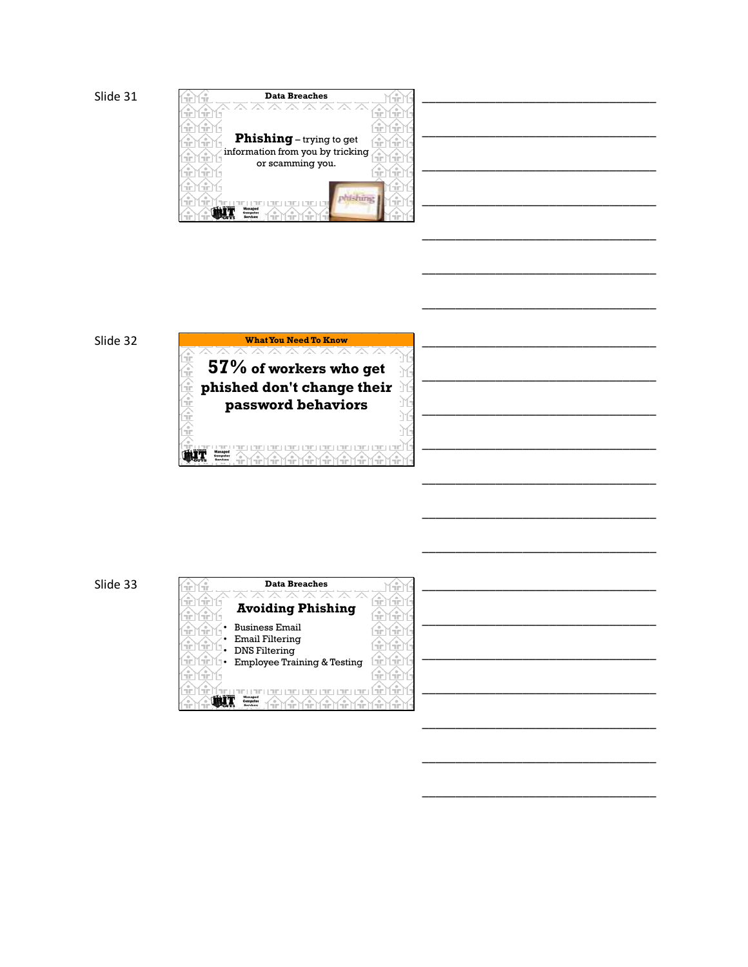

#### Slide 32



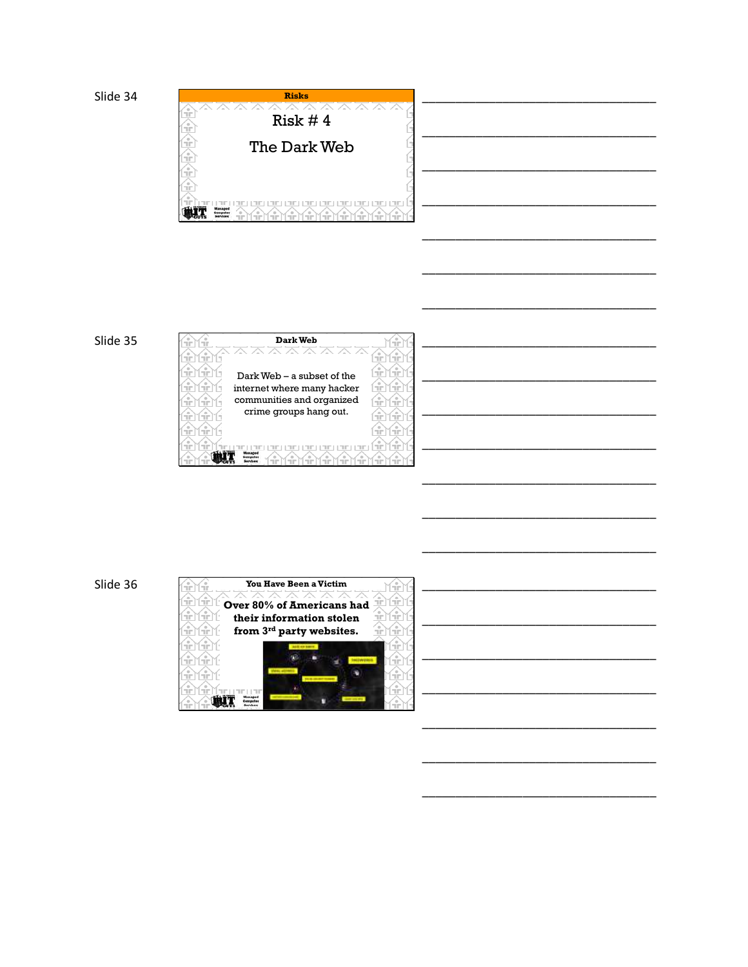

### Slide 35



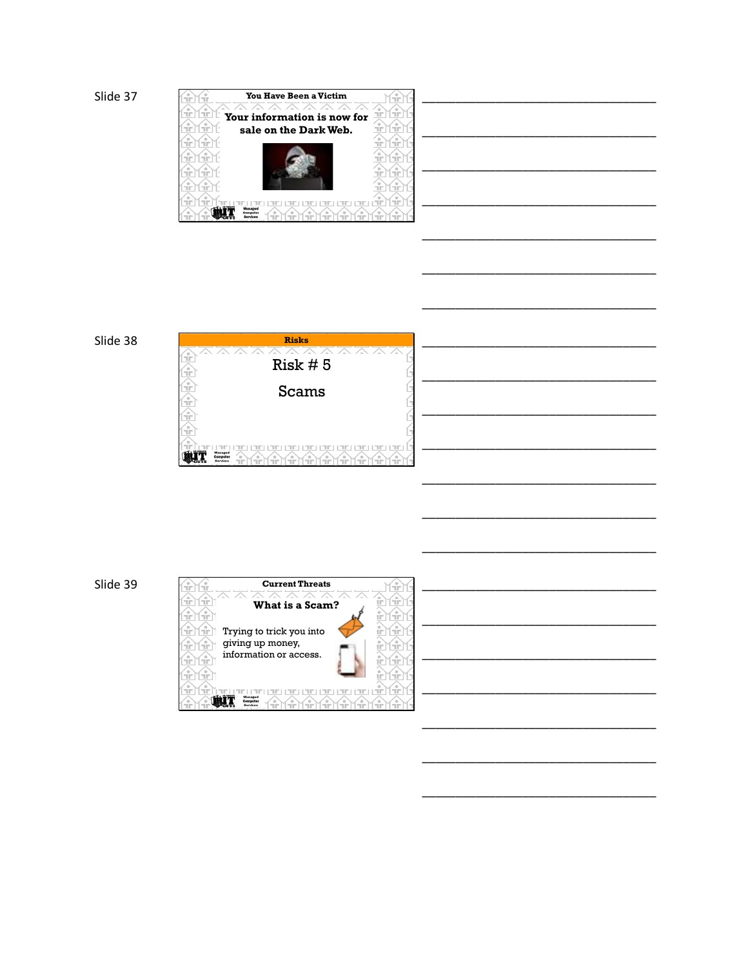

### Slide 38



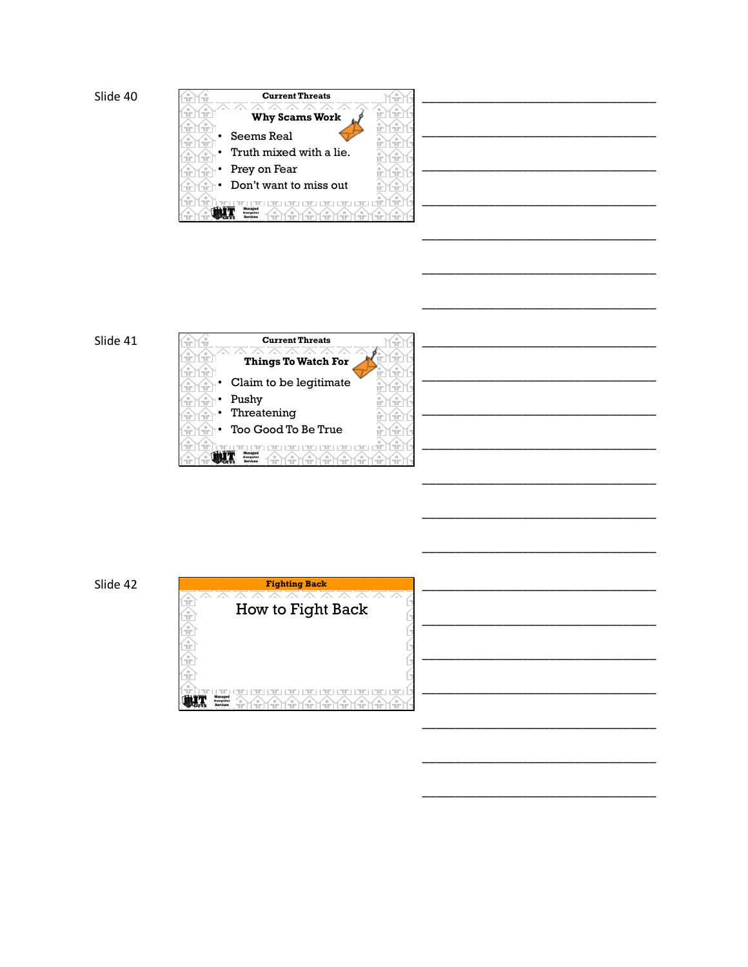





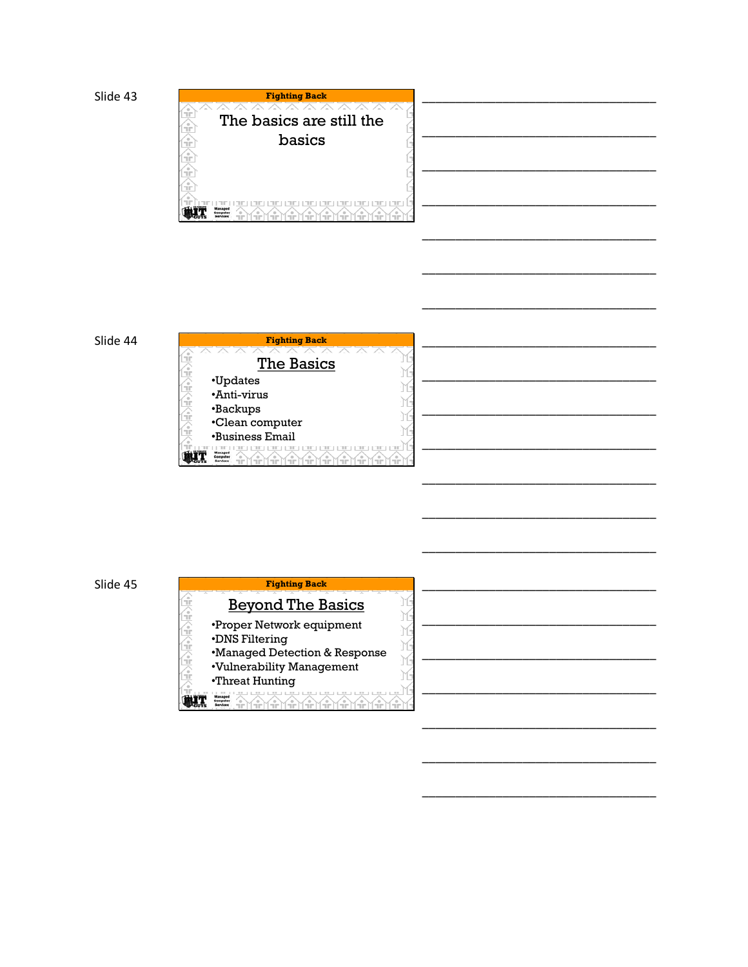





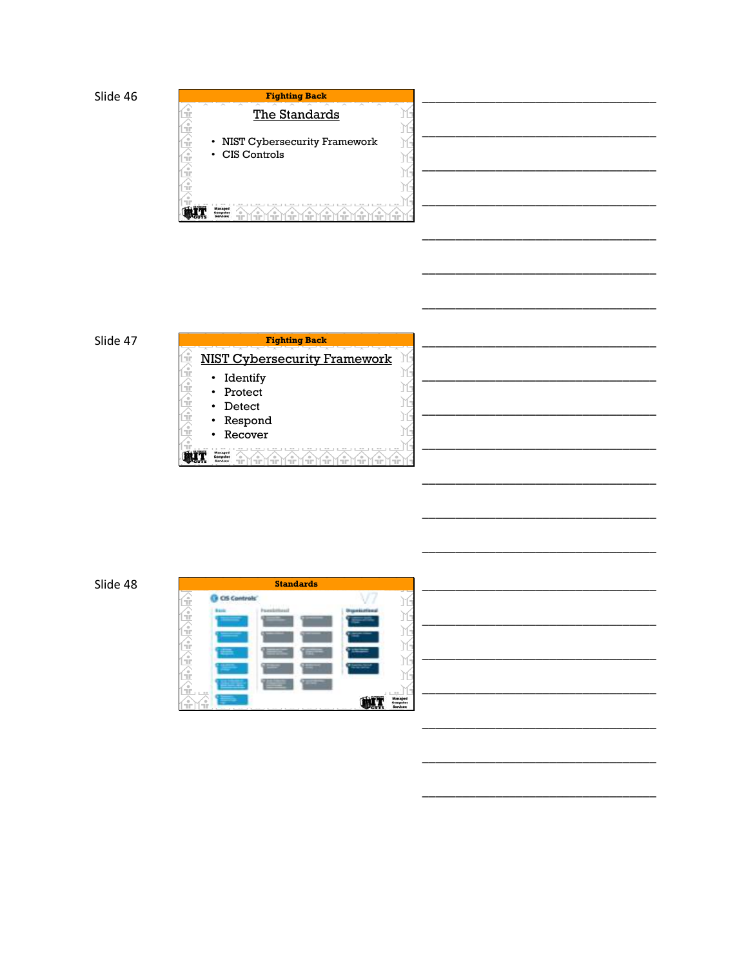

### Slide 47

| <b>Fighting Back</b>                |  |
|-------------------------------------|--|
| <b>NIST Cybersecurity Framework</b> |  |
| Identify<br>$\bullet$               |  |
| Protect                             |  |
| Detect                              |  |
| Respond                             |  |
| Recover                             |  |
|                                     |  |

|                 |                     | <b>Standards</b> |                     |                             |
|-----------------|---------------------|------------------|---------------------|-----------------------------|
|                 | <b>CIS Controls</b> |                  |                     | ÷<br>Ĥ                      |
| e)<br>Tir<br>٩, | <b>B-9-10</b>       | Pacerala         | <b>RoseviceGeog</b> | ÷<br>È                      |
|                 |                     |                  |                     | È                           |
| Эř<br>9         |                     |                  |                     | È                           |
| ٩.              |                     |                  |                     | È<br>Ĥ                      |
| नि ।। चा        |                     |                  |                     | FOR 1979.<br><b>Managed</b> |
|                 | <b>COLOR</b>        |                  | ---                 | Computer<br>Sarvices        |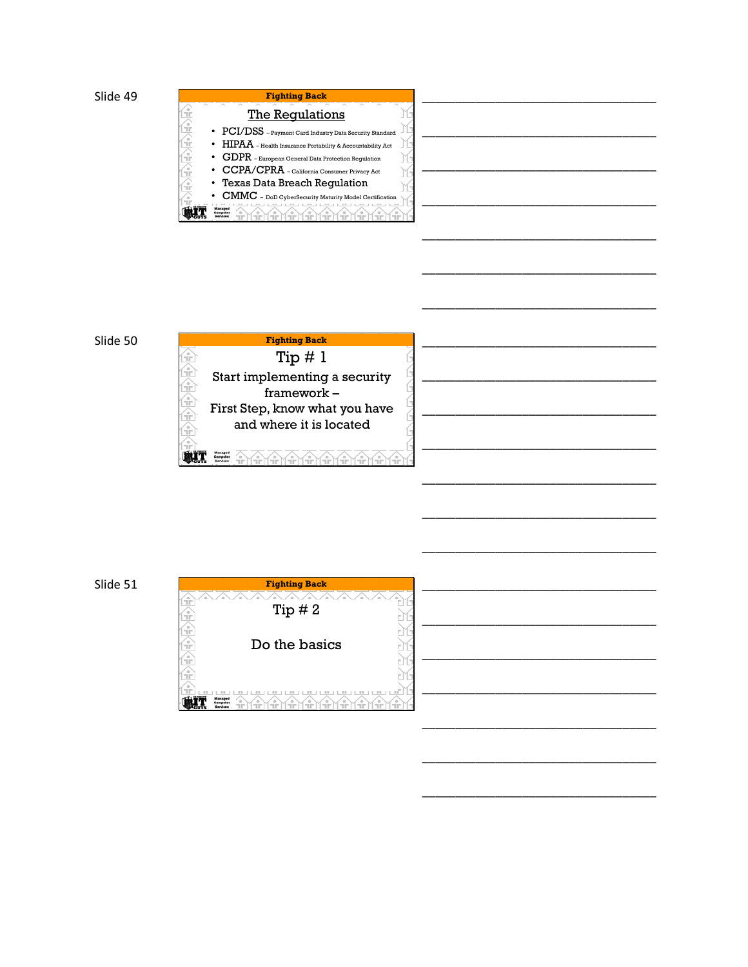

| i.                            |  |
|-------------------------------|--|
| $\frac{\partial}{\partial x}$ |  |
| ecurity Standard              |  |
| 吏<br>countability Act         |  |
| Regulation                    |  |
| 行化<br>Privacy Act             |  |
| ion<br>ĥ                      |  |
| del Certification             |  |
|                               |  |

### Slide 50



| ПI |  |  |
|----|--|--|
|    |  |  |
|    |  |  |
| -- |  |  |

\_\_\_\_\_\_\_\_\_\_\_\_\_\_\_\_\_\_\_\_\_\_\_\_\_\_\_\_\_\_\_\_\_\_\_

\_\_\_\_\_\_\_\_\_\_\_\_\_\_\_\_\_\_\_\_\_\_\_\_\_\_\_\_\_\_\_\_\_\_\_

\_\_\_\_\_\_\_\_\_\_\_\_\_\_\_\_\_\_\_\_\_\_\_\_\_\_\_\_\_\_\_\_\_\_\_

\_\_\_\_\_\_\_\_\_\_\_\_\_\_\_\_\_\_\_\_\_\_\_\_\_\_\_\_\_\_\_\_\_\_\_

\_\_\_\_\_\_\_\_\_\_\_\_\_\_\_\_\_\_\_\_\_\_\_\_\_\_\_\_\_\_\_\_\_\_\_

\_\_\_\_\_\_\_\_\_\_\_\_\_\_\_\_\_\_\_\_\_\_\_\_\_\_\_\_\_\_\_\_\_\_\_

\_\_\_\_\_\_\_\_\_\_\_\_\_\_\_\_\_\_\_\_\_\_\_\_\_\_\_\_\_\_\_\_\_\_\_

\_\_\_\_\_\_\_\_\_\_\_\_\_\_\_\_\_\_\_\_\_\_\_\_\_\_\_\_\_\_\_\_\_\_\_

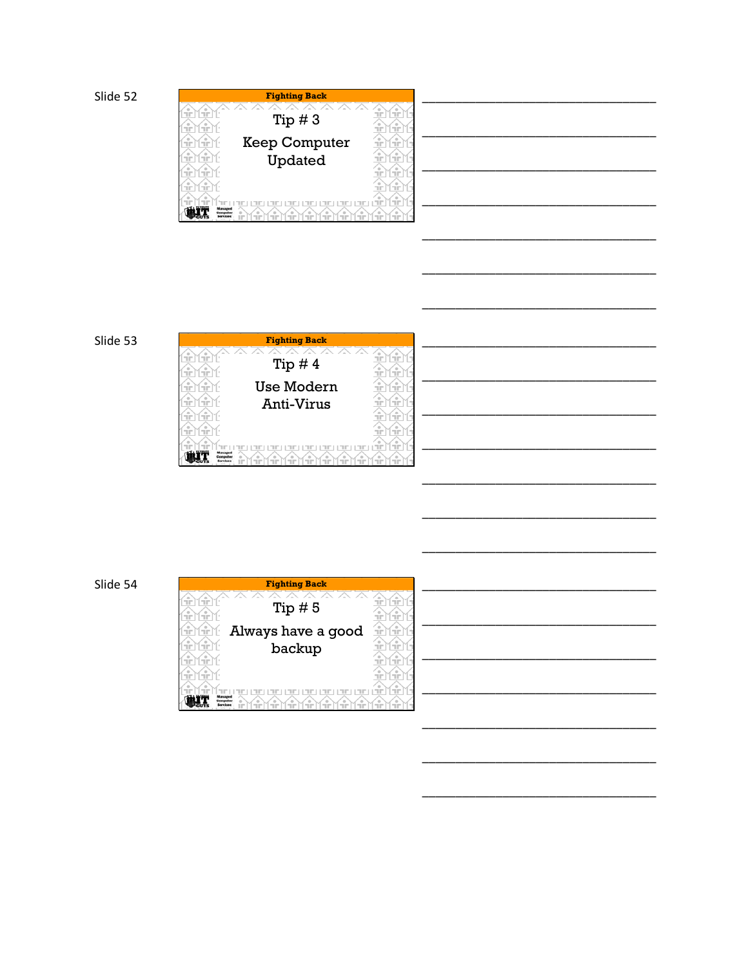|                                               | <b>Fighting Back</b> |                             |
|-----------------------------------------------|----------------------|-----------------------------|
|                                               |                      | $\circ$                     |
| <b>COLOR</b>                                  | Tip $#3$             | п'n<br><b>COLLECTION</b>    |
| пm                                            |                      | Ŧ<br><b>STORY</b>           |
| $\circ$<br><b>STOP</b>                        | <b>Keep Computer</b> | æ<br>Ŧ                      |
| ÷                                             | Updated              | Ŧ<br><b>COLLECTION</b>      |
|                                               |                      |                             |
| <b>COLOR</b>                                  |                      | Ŧ<br><b>COLOR</b>           |
| <b>STOP</b>                                   |                      | ۰<br>÷<br><b>COLLECTION</b> |
| --<br>$= -$                                   | ÷                    | $\circ$<br>Ŧ<br>÷           |
| <b>Managed</b><br><b>Leonarda</b><br>iarvices |                      | ПF                          |
|                                               |                      | --<br><b>COLLECTION</b>     |

### Slide 53



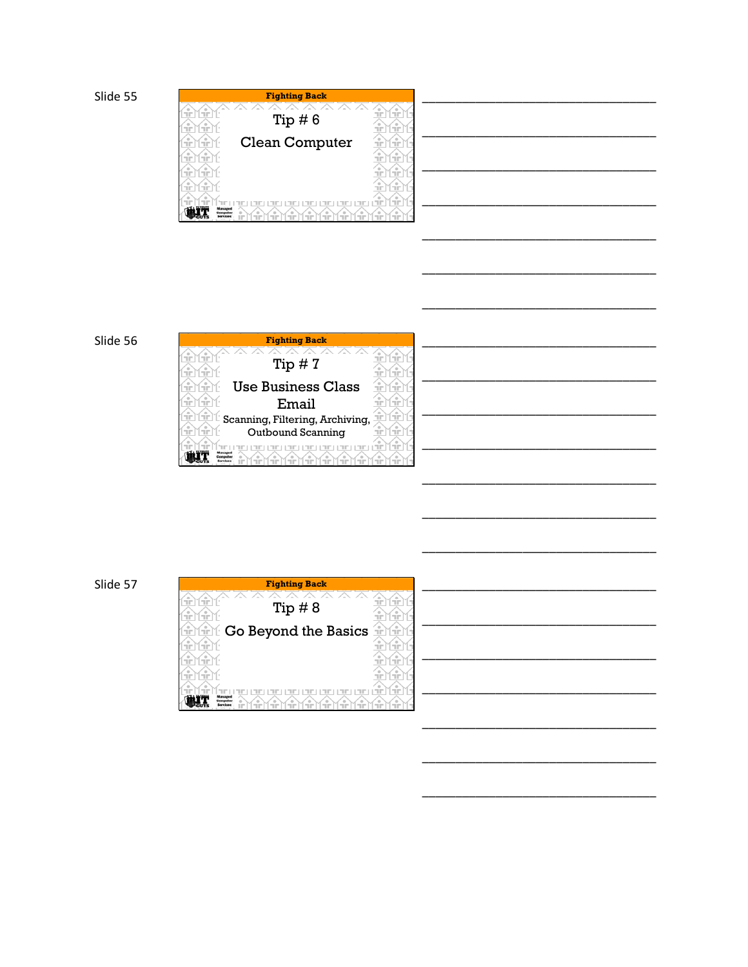| <b>Fighting Back</b>                                              |                        |
|-------------------------------------------------------------------|------------------------|
|                                                                   | $\circ$                |
| <b>COLOR</b><br>Tip $# 6$                                         | ПP<br><b>Service</b>   |
| ПP                                                                | Ŧ<br><b>Silver</b><br> |
| Clean Computer<br>$\circ$<br>TIP.                                 | ۰<br>÷<br><b>STORY</b> |
| ÷                                                                 | Ŧ<br><b>COLOR</b>      |
|                                                                   |                        |
| ÷                                                                 | æ<br>Ŧ                 |
| <b>COLOR</b>                                                      | Œ<br><b>Service</b>    |
| (LAME<br>$-1$                                                     | ۰<br>÷                 |
| <b>Managed</b>                                                    | ПF<br>Tin              |
| iantare<br>$\rightarrow$<br><u>.</u><br>--<br>--<br>$- -$<br>$-1$ | (C)<br>≺∸<br>$\sim$    |

## Slide 56



| <b>Fighting Back</b>                                |  |
|-----------------------------------------------------|--|
| Œ<br>Œ<br>ПF<br><b>COLOR</b>                        |  |
| Tip $#8$<br>Ŧ<br>Œ<br>۰<br>nin.<br>ПF               |  |
| Go Beyond the Basics<br>Ŧ<br>Æ<br>Œ<br>÷            |  |
| Ŧ<br>۰<br>۰<br>nin.<br><b>STORY</b><br><b>COLOR</b> |  |
| Ŧ<br>÷<br>$\bigcirc$<br><b>SOF</b><br>пm            |  |
| ÷<br>Ŧ<br>۰<br>¢<br>ПP<br><b>COLOR</b>              |  |
| Œ<br>÷<br>(.e.<br>Y - - 1<br>Managed                |  |
| $-$                                                 |  |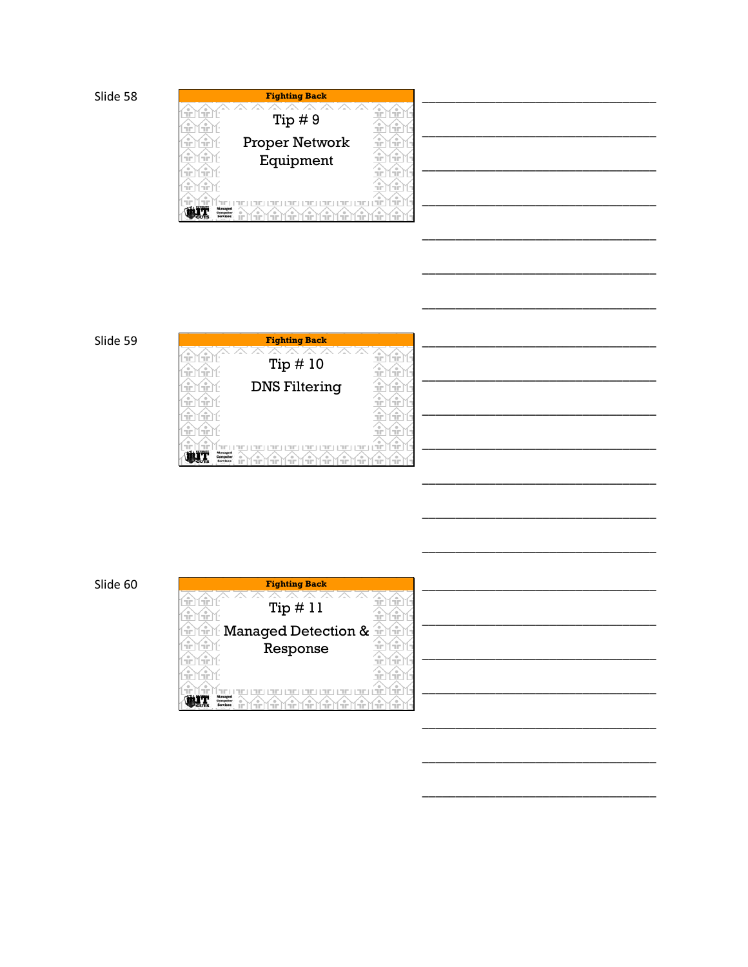|                                  | <b>Fighting Back</b> |                                               |
|----------------------------------|----------------------|-----------------------------------------------|
| <b>STEP</b><br>пr                | -- - -               | ---<br>٠<br><b>COLOR</b><br><b>COLOR</b>      |
| ۰<br>÷<br>п'n                    | Tip $# 9$            | <b>COLOR</b><br><b>COLOR</b>                  |
| <b>STEP</b><br>п'n               | Proper Network       | ۰<br>TiP.<br><b>STOP</b>                      |
| <b>STOP</b><br>TГ                | Equipment            | <b>COLOR</b><br><b>COLOR</b>                  |
| ÷<br><b>COLOR</b>                |                      | ۰<br><b>COLLECT</b><br><b>COLOR</b>           |
| TiP.<br>п'n                      |                      | ٠<br>ПF<br><b>COLOR</b>                       |
| --                               | A MARIA<br>ПF.       | $\circ$<br>$M_{\rm HII}$<br><b>TIP</b><br>ПP. |
| <b><i><u>Administrat</u></i></b> |                      | $-$                                           |

# Slide 59

| <b>Fighting Back</b>                                                                                          |                                                                                      |  |
|---------------------------------------------------------------------------------------------------------------|--------------------------------------------------------------------------------------|--|
| <b>STOP</b><br><b>COLOR</b><br>Tip $\#$ 10<br>GF.<br><b>STOP</b>                                              | $\overline{\phantom{a}}$<br>$\circ$<br>ПF<br><b>STORY</b><br>TIP.<br><b>STOP</b><br> |  |
| <b>DNS Filtering</b><br>÷<br><b>COLOR</b><br>۰<br><b>STOP</b><br><b>STORY</b>                                 | $\circ$<br>÷<br><b>STOP</b><br>$\circ$<br><b>STOP</b><br>ПF                          |  |
| ۰<br>ПF<br><b>STOP</b><br>۰<br>ПF<br>ПF                                                                       | $\circ$<br>۰<br>ПF<br>ПF<br>$\circ$<br>ПF<br>ПF                                      |  |
| Minager TEYTH<br>$M_{\rm H}$<br>÷<br>HF.<br>™m⊤<br>$M_{\rm H\,II}$<br><b>Commutes</b><br><b>Garylone</b><br>۰ | $\circ$<br>Yin<br>M÷<br>ПF                                                           |  |

| <b>Fighting Back</b>                                                         |  |
|------------------------------------------------------------------------------|--|
| ۰<br>ПP.<br><b>COLOR</b><br>пm                                               |  |
| Tip #11<br>-2<br><b>COLOR</b><br><b>STOP</b><br>TIP.                         |  |
| Managed Detection &<br>Yfri<br>Ŧ<br>÷<br>÷                                   |  |
| ÷<br>$\circ$<br>Response<br><b>COLOR</b><br><b>COLOR</b><br><b>COLOR</b>     |  |
| $\circ$<br>۰<br><b>COLOR</b><br>ПP.<br><b>COLOR</b>                          |  |
| ۰<br><b>COLOR</b><br><b>COLOR</b><br><b>COLOR</b><br><b>COLOR</b>            |  |
| $\qquad \qquad \oplus$<br>ſ÷<br>$\frac{1}{2}$<br>--<br>计审判<br>nin<br>Managed |  |
| $-1$                                                                         |  |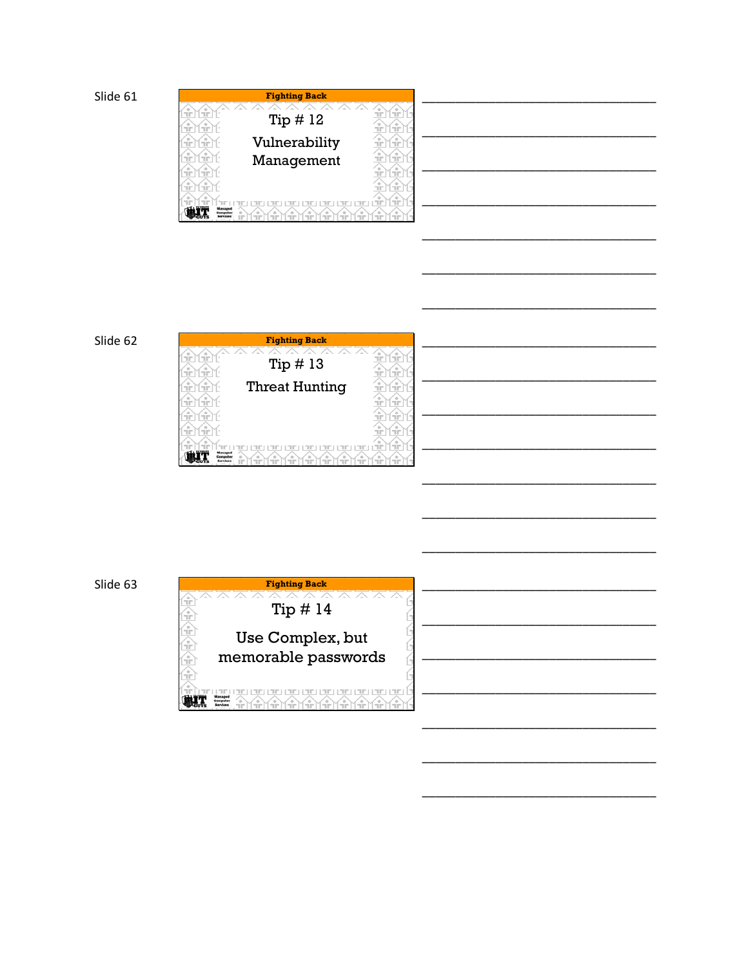|                                                       | <b>Fighting Back</b>   |                                       |
|-------------------------------------------------------|------------------------|---------------------------------------|
|                                                       |                        | $\circ$                               |
| <b>STOP</b><br>TГ                                     | Tip $\#$ 12            | <b>STOP</b><br>l vie                  |
| ÷<br>GF.                                              |                        | <b>SEP</b><br>۰<br>TIP.<br>           |
| ÷<br>۰<br>TГ                                          | Vulnerability          | $\circ$<br>$\circ$<br>пm<br>l tir     |
| ÷<br>÷                                                | Management             | Œ<br><b>STOP</b>                      |
| <b>STOP</b><br>TГ                                     |                        | ۰<br>۰<br>TIP.<br><b>Links</b>        |
| <b>STEP</b><br>п'n                                    |                        | $\triangleq$<br>ПP.<br><b>I HOTEL</b> |
| n San                                                 | (. <u>-</u> m.-<br>FF) | Æ<br>GF.<br>$(1 - 1)^{1/2}$           |
| Managed<br><b><i><u>Demovitor</u></i></b><br>iarcicae | Ч'n                    | $-$                                   |

## Slide 62



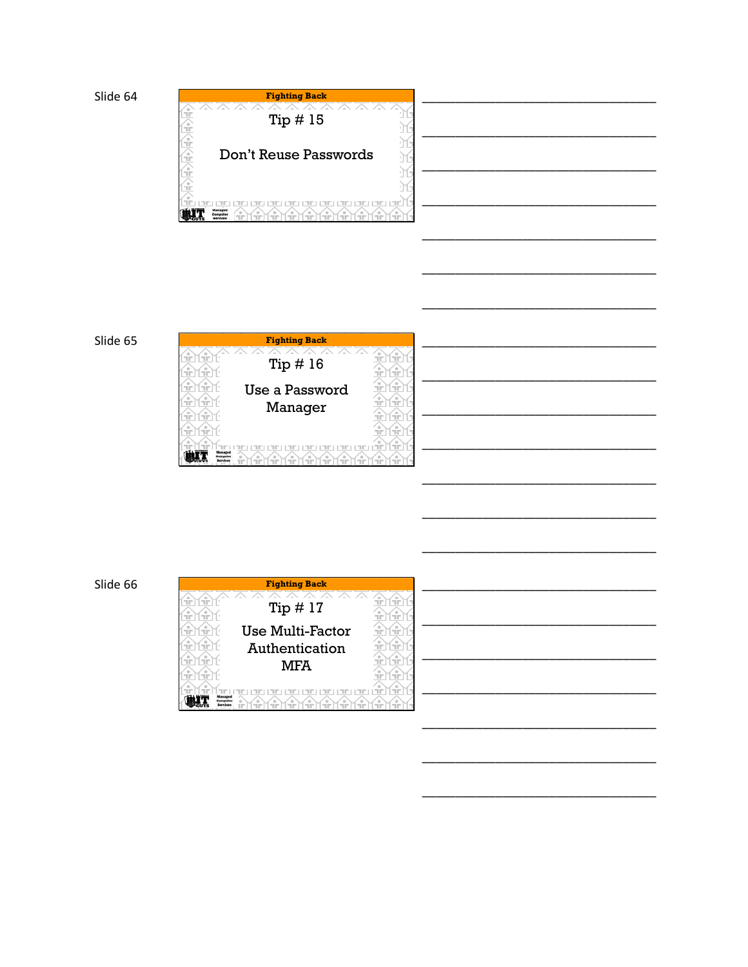





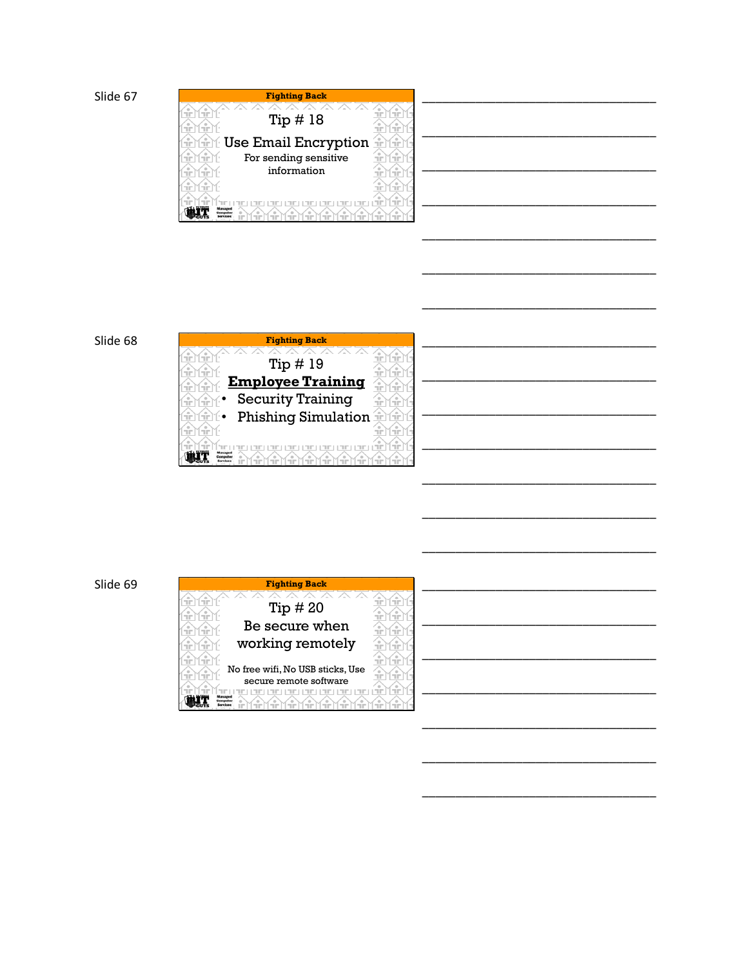| <b>Fighting Back</b>                               |  |
|----------------------------------------------------|--|
| -<br>۰                                             |  |
| Tip $\#$ 18                                        |  |
| п'n<br>п'n<br><b>COLLECT</b>                       |  |
| Use Email Encryption<br>÷<br>÷<br>÷                |  |
| For sending sensitive<br>2<br><b>COLOR</b>         |  |
| information<br>--<br><b>STOP</b><br><b>COLLECT</b> |  |
| <b>STOP</b><br>$-1$                                |  |
| --<br><b>COLLECT</b><br>$-$                        |  |
| Managed<br>$- -$                                   |  |

### Slide 68



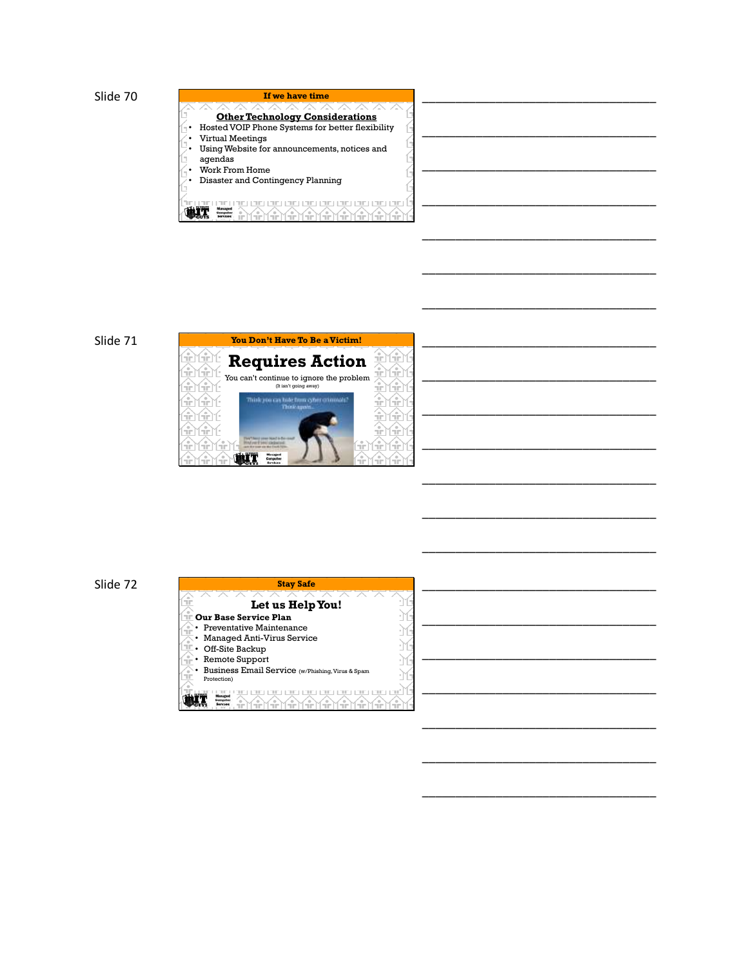





Mirn

\_\_\_\_\_\_\_\_\_\_\_\_\_\_\_\_\_\_\_\_\_\_\_\_\_\_\_\_\_\_\_\_\_\_\_

\_\_\_\_\_\_\_\_\_\_\_\_\_\_\_\_\_\_\_\_\_\_\_\_\_\_\_\_\_\_\_\_\_\_\_

\_\_\_\_\_\_\_\_\_\_\_\_\_\_\_\_\_\_\_\_\_\_\_\_\_\_\_\_\_\_\_\_\_\_\_

\_\_\_\_\_\_\_\_\_\_\_\_\_\_\_\_\_\_\_\_\_\_\_\_\_\_\_\_\_\_\_\_\_\_\_

\_\_\_\_\_\_\_\_\_\_\_\_\_\_\_\_\_\_\_\_\_\_\_\_\_\_\_\_\_\_\_\_\_\_\_

\_\_\_\_\_\_\_\_\_\_\_\_\_\_\_\_\_\_\_\_\_\_\_\_\_\_\_\_\_\_\_\_\_\_\_

\_\_\_\_\_\_\_\_\_\_\_\_\_\_\_\_\_\_\_\_\_\_\_\_\_\_\_\_\_\_\_\_\_\_\_

\_\_\_\_\_\_\_\_\_\_\_\_\_\_\_\_\_\_\_\_\_\_\_\_\_\_\_\_\_\_\_\_\_\_\_

\_\_\_\_\_\_\_\_\_\_\_\_\_\_\_\_\_\_\_\_\_\_\_\_\_\_\_\_\_\_\_\_\_\_\_

\_\_\_\_\_\_\_\_\_\_\_\_\_\_\_\_\_\_\_\_\_\_\_\_\_\_\_\_\_\_\_\_\_\_\_

Slide 71

<u>में प्रमूक्त</u> <u>में) में ए</u> <u>में प्रमुप</u>  $\mathbf{\hat{p}}$ 

irlirN

ர்∏ப்ப

Thisk you ca